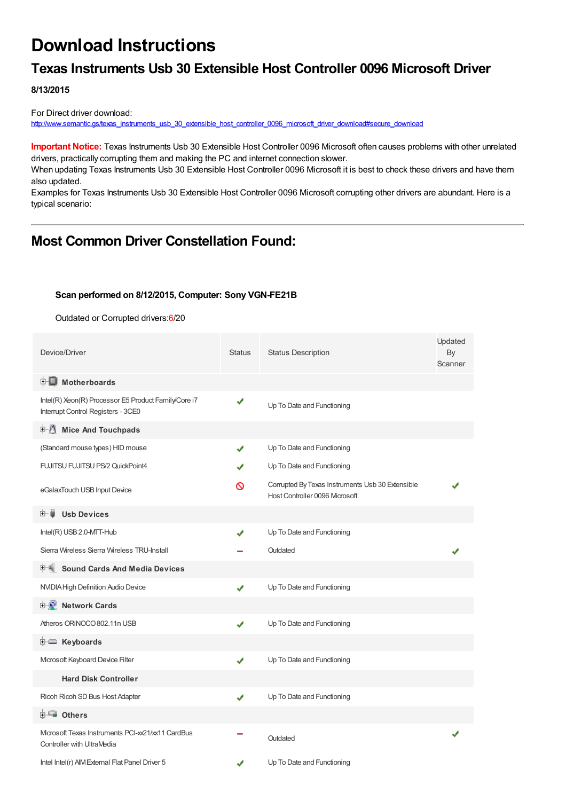# **Download Instructions**

# **Texas Instruments Usb 30 Extensible Host Controller 0096 Microsoft Driver**

**8/13/2015**

For Direct driver download: [http://www.semantic.gs/texas\\_instruments\\_usb\\_30\\_extensible\\_host\\_controller\\_0096\\_microsoft\\_driver\\_download#secure\\_download](http://www.semantic.gs/texas_instruments_usb_30_extensible_host_controller_0096_microsoft_driver_download#secure_download)

**Important Notice:** Texas Instruments Usb 30 Extensible Host Controller 0096 Microsoft often causes problems with other unrelated drivers, practically corrupting them and making the PC and internet connection slower.

When updating Texas Instruments Usb 30 Extensible Host Controller 0096 Microsoft it is best to check these drivers and have them also updated.

Examples for Texas Instruments Usb 30 Extensible Host Controller 0096 Microsoft corrupting other drivers are abundant. Here is a typical scenario:

# **Most Common Driver Constellation Found:**

#### **Scan performed on 8/12/2015, Computer: Sony VGN-FE21B**

Outdated or Corrupted drivers:6/20

| Device/Driver                                                                              | <b>Status</b> | <b>Status Description</b>                                                          | Updated<br>By<br>Scanner |
|--------------------------------------------------------------------------------------------|---------------|------------------------------------------------------------------------------------|--------------------------|
| <b>E</b> Motherboards                                                                      |               |                                                                                    |                          |
| Intel(R) Xeon(R) Processor E5 Product Family/Core i7<br>Interrupt Control Registers - 3CE0 |               | Up To Date and Functioning                                                         |                          |
| <b>中心 Mice And Touchpads</b>                                                               |               |                                                                                    |                          |
| (Standard mouse types) HID mouse                                                           | ✔             | Up To Date and Functioning                                                         |                          |
| <b>FUJITSU FUJITSU PS/2 QuickPoint4</b>                                                    |               | Up To Date and Functioning                                                         |                          |
| eGalaxTouch USB Input Device                                                               | ଷ             | Corrupted By Texas Instruments Usb 30 Extensible<br>Host Controller 0096 Microsoft |                          |
| <b>Usb Devices</b><br>⊞…■                                                                  |               |                                                                                    |                          |
| Intel(R) USB 2.0-MTT-Hub                                                                   | ✔             | Up To Date and Functioning                                                         |                          |
| Sierra Wireless Sierra Wireless TRU-Install                                                |               | Outdated                                                                           |                          |
| <b>Sound Cards And Media Devices</b><br>田帆                                                 |               |                                                                                    |                          |
| NVIDIA High Definition Audio Device                                                        | ✔             | Up To Date and Functioning                                                         |                          |
| <b>E-2</b> Network Cards                                                                   |               |                                                                                    |                          |
| Atheros ORINOCO 802.11n USB                                                                | ✔             | Up To Date and Functioning                                                         |                          |
| E Keyboards                                                                                |               |                                                                                    |                          |
| Mcrosoft Keyboard Device Filter                                                            | ✔             | Up To Date and Functioning                                                         |                          |
| <b>Hard Disk Controller</b>                                                                |               |                                                                                    |                          |
| Ricoh Ricoh SD Bus Host Adapter                                                            | ✔             | Up To Date and Functioning                                                         |                          |
| <b>E</b> Others                                                                            |               |                                                                                    |                          |
| Microsoft Texas Instruments PCI-xx21/xx11 CardBus<br>Controller with UltraMedia            |               | Outdated                                                                           |                          |
| Intel Intel(r) AIM External Flat Panel Driver 5                                            |               | Up To Date and Functioning                                                         |                          |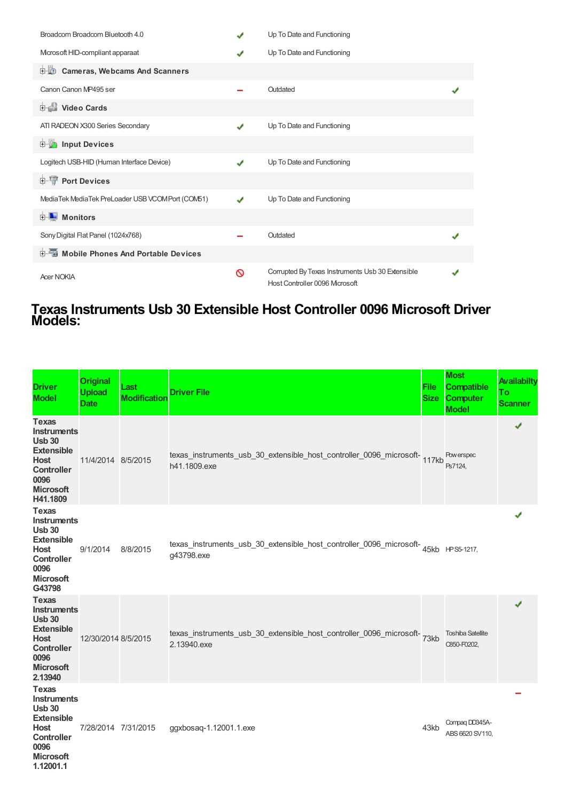| Broadcom Broadcom Bluetooth 4.0                   |   | Up To Date and Functioning                                                         |  |
|---------------------------------------------------|---|------------------------------------------------------------------------------------|--|
| Mcrosoft HID-compliant apparaat                   |   | Up To Date and Functioning                                                         |  |
| <b>Cameras, Webcams And Scanners</b><br>由心        |   |                                                                                    |  |
| Canon Canon MP495 ser                             |   | Outdated                                                                           |  |
| <b>Dideo Cards</b>                                |   |                                                                                    |  |
| ATI RADEON X300 Series Secondary                  | J | Up To Date and Functioning                                                         |  |
| <b>Devices</b> Input Devices                      |   |                                                                                    |  |
| Logitech USB-HID (Human Interface Device)         | J | Up To Date and Functioning                                                         |  |
| <b>E-T</b> Port Devices                           |   |                                                                                    |  |
| MediaTek MediaTek PreLoader USB VCOM Port (COM51) | J | Up To Date and Functioning                                                         |  |
| <b>E</b> Monitors                                 |   |                                                                                    |  |
| Sony Digital Flat Panel (1024x768)                |   | Outdated                                                                           |  |
| <b>E-6</b> Mobile Phones And Portable Devices     |   |                                                                                    |  |
| <b>Acer NOKIA</b>                                 | ര | Corrupted By Texas Instruments Usb 30 Extensible<br>Host Controller 0096 Microsoft |  |

### **Texas Instruments Usb 30 Extensible Host Controller 0096 Microsoft Driver Models:**

| <b>Driver</b><br><b>Model</b>                                                                                                                        | <b>Original</b><br><b>Upload</b><br><b>Date</b> | Last<br><b>Modification</b> | <b>Driver File</b>                                                                               | <b>File</b><br><b>Size</b> | <b>Most</b><br><b>Compatible</b><br><b>Computer</b><br><b>Model</b> | <b>Availabilty</b><br>To<br><b>Scanner</b> |
|------------------------------------------------------------------------------------------------------------------------------------------------------|-------------------------------------------------|-----------------------------|--------------------------------------------------------------------------------------------------|----------------------------|---------------------------------------------------------------------|--------------------------------------------|
| <b>Texas</b><br><b>Instruments</b><br><b>Usb 30</b><br><b>Extensible</b><br><b>Host</b><br><b>Controller</b><br>0096<br><b>Microsoft</b><br>H41.1809 | 11/4/2014 8/5/2015                              |                             | texas_instruments_usb_30_extensible_host_controller_0096_microsoft-<br>h41.1809.exe              |                            | Pow erspec<br>Ps7124,                                               | ✔                                          |
| <b>Texas</b><br><b>Instruments</b><br><b>Usb 30</b><br><b>Extensible</b><br><b>Host</b><br><b>Controller</b><br>0096<br><b>Microsoft</b><br>G43798   | 9/1/2014                                        | 8/8/2015                    | texas_instruments_usb_30_extensible_host_controller_0096_microsoft-45kb HPS5-1217,<br>g43798.exe |                            |                                                                     |                                            |
| <b>Texas</b><br><b>Instruments</b><br><b>Usb 30</b><br><b>Extensible</b><br><b>Host</b><br><b>Controller</b><br>0096<br><b>Microsoft</b><br>2.13940  | 12/30/2014 8/5/2015                             |                             | texas_instruments_usb_30_extensible_host_controller_0096_microsoft-<br>2.13940.exe               |                            | <b>Toshiba Satellite</b><br>C850-F0202,                             | ✔                                          |
| <b>Texas</b><br><b>Instruments</b><br><b>Usb 30</b><br><b>Extensible</b><br>Host<br><b>Controller</b><br>0096<br><b>Microsoft</b><br>1.12001.1       | 7/28/2014 7/31/2015                             |                             | ggxbosaq-1.12001.1.exe                                                                           | 43kb                       | Compag DD345A-<br>ABS 6620 SV110,                                   |                                            |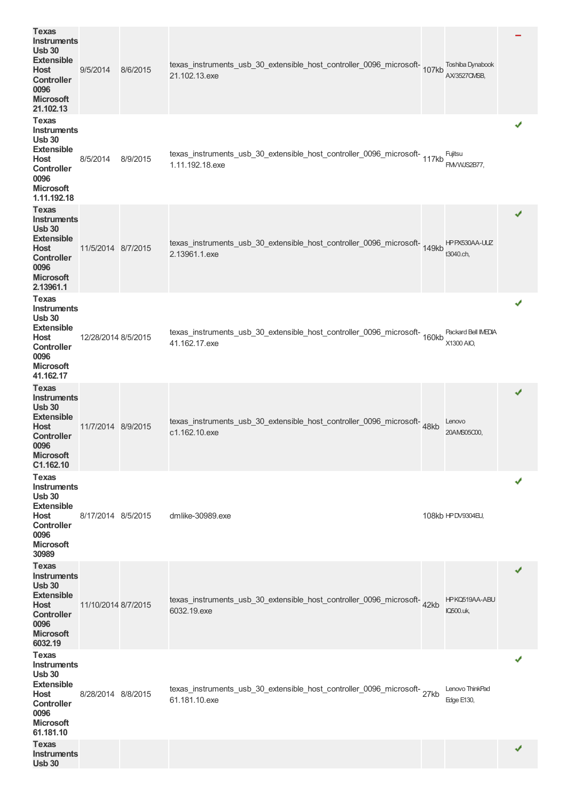| <b>Texas</b><br>Instruments<br><b>Usb 30</b><br><b>Extensible</b><br>Host<br><b>Controller</b><br>0096<br><b>Microsoft</b><br>21.102.13               | 9/5/2014            | 8/6/2015 | texas_instruments_usb_30_extensible_host_controller_0096_microsoft-107kb<br>21.102.13.exe       | <b>Toshiba Dynabook</b><br>AX/3527CMSB, |   |
|-------------------------------------------------------------------------------------------------------------------------------------------------------|---------------------|----------|-------------------------------------------------------------------------------------------------|-----------------------------------------|---|
| <b>Texas</b><br><b>Instruments</b><br><b>Usb 30</b><br><b>Extensible</b><br>Host<br><b>Controller</b><br>0096<br><b>Microsoft</b><br>1.11.192.18      | 8/5/2014            | 8/9/2015 | texas_instruments_usb_30_extensible_host_controller_0096_microsoft-<br>117kb<br>1.11.192.18.exe | Fujitsu<br>FMVWJS2B77,                  |   |
| <b>Texas</b><br><b>Instruments</b><br><b>Usb 30</b><br><b>Extensible</b><br><b>Host</b><br><b>Controller</b><br>0096<br><b>Microsoft</b><br>2.13961.1 | 11/5/2014 8/7/2015  |          | texas_instruments_usb_30_extensible_host_controller_0096_microsoft-149kb<br>2.13961.1.exe       | HPPX530AA-UUZ<br>t3040.ch,              |   |
| <b>Texas</b><br><b>Instruments</b><br><b>Usb 30</b><br><b>Extensible</b><br>Host<br><b>Controller</b><br>0096<br><b>Microsoft</b><br>41.162.17        | 12/28/2014 8/5/2015 |          | texas_instruments_usb_30_extensible_host_controller_0096_microsoft-<br>160kb<br>41.162.17.exe   | Packard Bell IMEDIA<br>X1300 AIO,       | ✔ |
| <b>Texas</b><br><b>Instruments</b><br><b>Usb 30</b><br><b>Extensible</b><br>Host<br><b>Controller</b><br>0096<br><b>Microsoft</b><br>C1.162.10        | 11/7/2014 8/9/2015  |          | texas_instruments_usb_30_extensible_host_controller_0096_microsoft-48kb<br>c1.162.10.exe        | Lenovo<br>20AMS05C00,                   | ✔ |
| <b>Texas</b><br><b>Instruments</b><br><b>Usb 30</b><br><b>Extensible</b><br>Host<br><b>Controller</b><br>0096<br><b>Microsoft</b><br>30989            | 8/17/2014 8/5/2015  |          | dmlike-30989.exe                                                                                | 108kb HPDV9304EU,                       | ✔ |
| Texas<br><b>Instruments</b><br><b>Usb 30</b><br><b>Extensible</b><br>Host<br><b>Controller</b><br>0096<br><b>Microsoft</b><br>6032.19                 | 11/10/2014 8/7/2015 |          | texas_instruments_usb_30_extensible_host_controller_0096_microsoft-42kb<br>6032.19.exe          | HPKQ519AA-ABU<br>IQ500.uk,              | ✔ |
| <b>Texas</b><br>Instruments<br><b>Usb 30</b><br><b>Extensible</b><br>Host<br><b>Controller</b><br>0096<br><b>Microsoft</b><br>61.181.10               | 8/28/2014 8/8/2015  |          | texas_instruments_usb_30_extensible_host_controller_0096_microsoft-27kb<br>61.181.10.exe        | Lenovo ThinkPad<br>Edge E130,           |   |
| <b>Texas</b><br><b>Instruments</b><br><b>Usb 30</b>                                                                                                   |                     |          |                                                                                                 |                                         |   |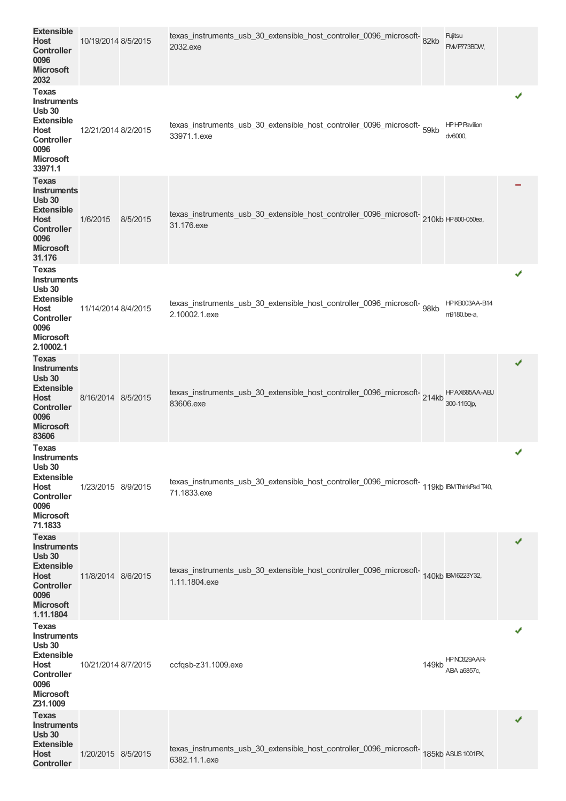| <b>Extensible</b><br><b>Host</b><br><b>Controller</b><br>0096<br><b>Microsoft</b><br>2032                                                      | 10/19/2014 8/5/2015 |          | texas_instruments_usb_30_extensible_host_controller_0096_microsoft-82kb<br>2032.exe                       |       | Fujitsu<br>FM/P773BDW,         |   |
|------------------------------------------------------------------------------------------------------------------------------------------------|---------------------|----------|-----------------------------------------------------------------------------------------------------------|-------|--------------------------------|---|
| Texas<br><b>Instruments</b><br><b>Usb 30</b><br><b>Extensible</b><br>Host<br><b>Controller</b><br>0096<br><b>Microsoft</b><br>33971.1          | 12/21/2014 8/2/2015 |          | texas_instruments_usb_30_extensible_host_controller_0096_microsoft-<br>59kb<br>33971.1.exe                |       | <b>HPHPPavilion</b><br>dv6000, |   |
| Texas<br>Instruments<br><b>Usb 30</b><br><b>Extensible</b><br>Host<br><b>Controller</b><br>0096<br><b>Microsoft</b><br>31.176                  | 1/6/2015            | 8/5/2015 | texas_instruments_usb_30_extensible_host_controller_0096_microsoft-210kb HP800-050ea,<br>31.176.exe       |       |                                |   |
| <b>Texas</b><br>Instruments<br><b>Usb 30</b><br><b>Extensible</b><br>Host<br><b>Controller</b><br>0096<br><b>Microsoft</b><br>2.10002.1        | 11/14/2014 8/4/2015 |          | texas_instruments_usb_30_extensible_host_controller_0096_microsoft-g8kb<br>2.10002.1.exe                  |       | HPKB003AA-B14<br>m9180.be-a,   | ✔ |
| <b>Texas</b><br><b>Instruments</b><br><b>Usb 30</b><br><b>Extensible</b><br>Host<br><b>Controller</b><br>0096<br><b>Microsoft</b><br>83606     | 8/16/2014 8/5/2015  |          | texas_instruments_usb_30_extensible_host_controller_0096_microsoft-214kb<br>83606.exe                     |       | HPAX685AA-ABJ<br>300-1150jp,   | ✔ |
| Texas<br><b>Instruments</b><br><b>Usb 30</b><br><b>Extensible</b><br>Host<br><b>Controller</b><br>0096<br><b>Microsoft</b><br>71.1833          | 1/23/2015 8/9/2015  |          | texas_instruments_usb_30_extensible_host_controller_0096_microsoft-119kb IBMThinkPad T40,<br>71.1833.exe  |       |                                | J |
| <b>Texas</b><br><b>Instruments</b><br><b>Usb 30</b><br><b>Extensible</b><br>Host<br><b>Controller</b><br>0096<br><b>Microsoft</b><br>1.11.1804 | 11/8/2014 8/6/2015  |          | texas_instruments_usb_30_extensible_host_controller_0096_microsoft-<br>140kb IBM6223Y32,<br>1.11.1804.exe |       |                                |   |
| <b>Texas</b><br><b>Instruments</b><br><b>Usb 30</b><br><b>Extensible</b><br>Host<br><b>Controller</b><br>0096<br><b>Microsoft</b><br>Z31.1009  | 10/21/2014 8/7/2015 |          | ccfqsb-z31.1009.exe                                                                                       | 149kb | HPNC829AAR-<br>ABA a6857c,     | ✔ |
| <b>Texas</b><br><b>Instruments</b><br><b>Usb 30</b><br><b>Extensible</b><br>Host<br><b>Controller</b>                                          | 1/20/2015 8/5/2015  |          | texas_instruments_usb_30_extensible_host_controller_0096_microsoft-185kb ASUS1001PX,<br>6382.11.1.exe     |       |                                | ✔ |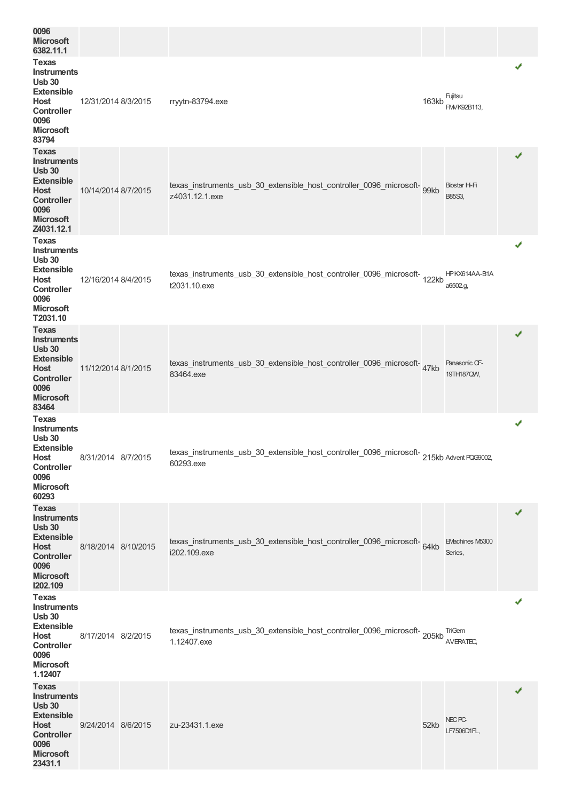| 0096<br><b>Microsoft</b><br>6382.11.1                                                                                                           |                     |                                                                                                       |       |                                  |   |
|-------------------------------------------------------------------------------------------------------------------------------------------------|---------------------|-------------------------------------------------------------------------------------------------------|-------|----------------------------------|---|
| <b>Texas</b><br><b>Instruments</b><br><b>Usb 30</b><br><b>Extensible</b><br>Host<br><b>Controller</b><br>0096<br><b>Microsoft</b><br>83794      | 12/31/2014 8/3/2015 | rryytn-83794.exe                                                                                      | 163kb | Fujitsu<br>FM/K92B113,           | ✔ |
| <b>Texas</b><br><b>Instruments</b><br><b>Usb 30</b><br><b>Extensible</b><br>Host<br><b>Controller</b><br>0096<br><b>Microsoft</b><br>Z4031.12.1 | 10/14/2014 8/7/2015 | texas_instruments_usb_30_extensible_host_controller_0096_microsoft-<br>99kb<br>z4031.12.1.exe         |       | Biostar H-Fi<br>B85S3,           | ✔ |
| <b>Texas</b><br><b>Instruments</b><br><b>Usb 30</b><br><b>Extensible</b><br>Host<br><b>Controller</b><br>0096<br><b>Microsoft</b><br>T2031.10   | 12/16/2014 8/4/2015 | texas_instruments_usb_30_extensible_host_controller_0096_microsoft-<br>122kb<br>t2031.10.exe          |       | HPKX614AA-B1A<br>a6502.g,        | ✔ |
| <b>Texas</b><br><b>Instruments</b><br><b>Usb 30</b><br><b>Extensible</b><br>Host<br><b>Controller</b><br>0096<br><b>Microsoft</b><br>83464      | 11/12/2014 8/1/2015 | texas_instruments_usb_30_extensible_host_controller_0096_microsoft-47kb<br>83464.exe                  |       | Panasonic CF-<br>19TH187QW,      | ✔ |
| <b>Texas</b><br>Instruments<br><b>Usb 30</b><br><b>Extensible</b><br><b>Host</b><br><b>Controller</b><br>0096<br><b>Microsoft</b><br>60293      | 8/31/2014 8/7/2015  | texas_instruments_usb_30_extensible_host_controller_0096_microsoft-215kb Advent PQG9002,<br>60293.exe |       |                                  | ✔ |
| <b>Texas</b><br><b>Instruments</b><br><b>Usb 30</b><br><b>Extensible</b><br>Host<br><b>Controller</b><br>0096<br><b>Microsoft</b><br>1202.109   | 8/18/2014 8/10/2015 | texas_instruments_usb_30_extensible_host_controller_0096_microsoft-64kb<br>i202.109.exe               |       | EMachines M5300<br>Series,       | ✔ |
| <b>Texas</b><br>Instruments<br><b>Usb 30</b><br><b>Extensible</b><br>Host<br>Controller<br>0096<br><b>Microsoft</b><br>1.12407                  | 8/17/2014 8/2/2015  | texas_instruments_usb_30_extensible_host_controller_0096_microsoft-205kb<br>1.12407.exe               |       | <b>TriGem</b><br>AVERATEC,       | ✔ |
| <b>Texas</b><br>Instruments<br><b>Usb 30</b><br><b>Extensible</b><br>Host<br><b>Controller</b><br>0096<br><b>Microsoft</b><br>23431.1           | 9/24/2014 8/6/2015  | zu-23431.1.exe                                                                                        | 52kb  | NEC <sub>PC</sub><br>LF7506D1FL, | ✔ |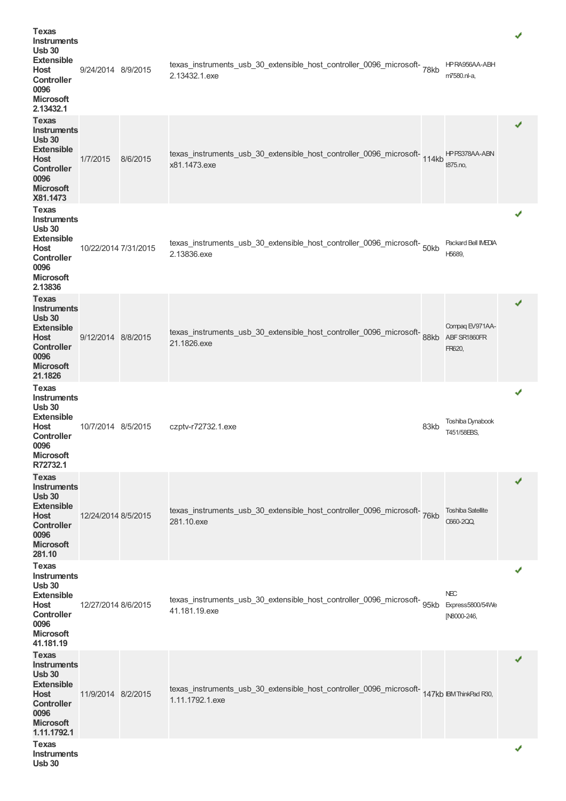| <b>Texas</b><br>Instruments<br><b>Usb 30</b><br><b>Extensible</b><br>Host<br><b>Controller</b><br>0096<br><b>Microsoft</b><br>2.13432.1             | 9/24/2014 8/9/2015   |          | texas_instruments_usb_30_extensible_host_controller_0096_microsoft-78kb<br>2.13432.1.exe                     |      | HP RA956AA-ABH<br>m7580.nl-a,                 |   |
|-----------------------------------------------------------------------------------------------------------------------------------------------------|----------------------|----------|--------------------------------------------------------------------------------------------------------------|------|-----------------------------------------------|---|
| Texas<br>Instruments<br><b>Usb 30</b><br><b>Extensible</b><br><b>Host</b><br><b>Controller</b><br>0096<br><b>Microsoft</b><br>X81.1473              | 1/7/2015             | 8/6/2015 | texas_instruments_usb_30_extensible_host_controller_0096_microsoft-114kb<br>x81.1473.exe                     |      | HPPS378AA-ABN<br>t875.no,                     | ✔ |
| Texas<br>Instruments<br><b>Usb 30</b><br><b>Extensible</b><br>Host<br><b>Controller</b><br>0096<br><b>Microsoft</b><br>2.13836                      | 10/22/2014 7/31/2015 |          | texas_instruments_usb_30_extensible_host_controller_0096_microsoft-<br>2.13836.exe                           |      | Packard Bell IMEDIA<br>H5689,                 | ✔ |
| <b>Texas</b><br><b>Instruments</b><br><b>Usb 30</b><br><b>Extensible</b><br><b>Host</b><br><b>Controller</b><br>0096<br><b>Microsoft</b><br>21.1826 | 9/12/2014 8/8/2015   |          | texas_instruments_usb_30_extensible_host_controller_0096_microsoft-<br>21.1826.exe                           | 88kb | Compaq EV971AA-<br>ABF SR1860FR<br>FR620,     | ✔ |
| Texas<br>Instruments<br><b>Usb 30</b><br><b>Extensible</b><br>Host<br><b>Controller</b><br>0096<br><b>Microsoft</b><br>R72732.1                     | 10/7/2014 8/5/2015   |          | czptv-r72732.1.exe                                                                                           | 83kb | <b>Toshiba Dynabook</b><br>T451/58EBS,        | ✔ |
| <b>Texas</b><br><b>Instruments</b><br><b>Usb 30</b><br><b>Extensible</b><br><b>Host</b><br><b>Controller</b><br>0096<br><b>Microsoft</b><br>281.10  | 12/24/2014 8/5/2015  |          | texas_instruments_usb_30_extensible_host_controller_0096_microsoft-<br>281.10.exe                            |      | <b>Toshiba Satellite</b><br><b>C660-2QQ</b>   |   |
| <b>Texas</b><br><b>Instruments</b><br><b>Usb 30</b><br><b>Extensible</b><br>Host<br><b>Controller</b><br>0096<br><b>Microsoft</b><br>41.181.19      | 12/27/2014 8/6/2015  |          | texas_instruments_usb_30_extensible_host_controller_0096_microsoft-<br>95kb<br>41.181.19.exe                 |      | <b>NEC</b><br>Express5800/54We<br>[N8000-246, | ✔ |
| <b>Texas</b><br>Instruments<br><b>Usb 30</b><br><b>Extensible</b><br>Host<br><b>Controller</b><br>0096<br><b>Microsoft</b><br>1.11.1792.1           | 11/9/2014 8/2/2015   |          | texas_instruments_usb_30_extensible_host_controller_0096_microsoft-147kb IBMThinkPad R30,<br>1.11.1792.1.exe |      |                                               | ✔ |
| Texas<br><b>Instruments</b><br><b>Usb 30</b>                                                                                                        |                      |          |                                                                                                              |      |                                               |   |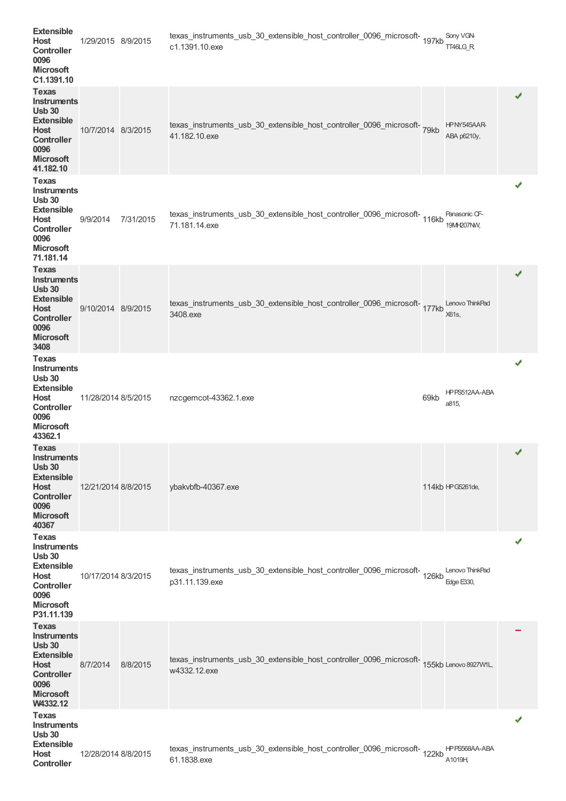| <b>Extensible</b><br><b>Host</b><br><b>Controller</b><br>0096<br><b>Microsoft</b><br>C1.1391.10<br><b>Texas</b>                                 | 1/29/2015 8/9/2015  |           | texas_instruments_usb_30_extensible_host_controller_0096_microsoft-<br>197kb<br>c1.1391.10.exe           |      | Sony VGN-<br>TT46LG R                | ✔                     |  |
|-------------------------------------------------------------------------------------------------------------------------------------------------|---------------------|-----------|----------------------------------------------------------------------------------------------------------|------|--------------------------------------|-----------------------|--|
| <b>Instruments</b><br><b>Usb 30</b><br><b>Extensible</b><br>Host<br><b>Controller</b><br>0096<br><b>Microsoft</b><br>41.182.10                  | 10/7/2014 8/3/2015  |           | texas_instruments_usb_30_extensible_host_controller_0096_microsoft-<br>41.182.10.exe                     |      | HPNY545AAR-<br>ABA p6210y,           |                       |  |
| <b>Texas</b><br>Instruments<br><b>Usb 30</b><br><b>Extensible</b><br>Host<br><b>Controller</b><br>0096<br><b>Microsoft</b><br>71.181.14         | 9/9/2014            | 7/31/2015 | texas_instruments_usb_30_extensible_host_controller_0096_microsoft-116kb<br>71.181.14.exe                |      | Panasonic CF-<br>19MH207NW,          | ✔                     |  |
| <b>Texas</b><br><b>Instruments</b><br><b>Usb 30</b><br><b>Extensible</b><br>Host<br><b>Controller</b><br>0096<br><b>Microsoft</b><br>3408       | 9/10/2014 8/9/2015  |           | texas_instruments_usb_30_extensible_host_controller_0096_microsoft-177kb<br>3408.exe                     |      | Lenovo ThinkPad<br>X61s,             | ✔                     |  |
| Texas<br><b>Instruments</b><br><b>Usb 30</b><br><b>Extensible</b><br>Host<br><b>Controller</b><br>0096<br><b>Microsoft</b><br>43362.1           | 11/28/2014 8/5/2015 |           | nzcgemcot-43362.1.exe                                                                                    | 69kb | HPPS512AA-ABA<br>a815,               | ✔                     |  |
| <b>Texas</b><br><b>Instruments</b><br><b>Usb 30</b><br><b>Extensible</b><br>Host<br><b>Controller</b><br>0096<br><b>Microsoft</b><br>40367      | 12/21/2014 8/8/2015 |           | ybakvbfb-40367.exe                                                                                       |      | 114kb HPG5261de,                     | $\mathcal{A}^{\perp}$ |  |
| <b>Texas</b><br><b>Instruments</b><br><b>Usb 30</b><br><b>Extensible</b><br>Host<br><b>Controller</b><br>0096<br><b>Microsoft</b><br>P31.11.139 | 10/17/2014 8/3/2015 |           | texas_instruments_usb_30_extensible_host_controller_0096_microsoft-<br>126kb<br>p31.11.139.exe           |      | Lenovo ThinkPad<br><b>Edge E330,</b> | ✔                     |  |
| <b>Texas</b><br><b>Instruments</b><br><b>Usb 30</b><br><b>Extensible</b><br>Host<br><b>Controller</b><br>0096<br><b>Microsoft</b><br>W4332.12   | 8/7/2014            | 8/8/2015  | texas_instruments_usb_30_extensible_host_controller_0096_microsoft-155kb Lenovo 8927WIL,<br>w4332.12.exe |      |                                      |                       |  |
| <b>Texas</b><br>Instruments<br><b>Usb 30</b><br><b>Extensible</b><br>Host<br><b>Controller</b>                                                  | 12/28/2014 8/8/2015 |           | texas_instruments_usb_30_extensible_host_controller_0096_microsoft-<br>122kb<br>61.1838.exe              |      | HPPS568AA-ABA<br>A1019H              | ✔                     |  |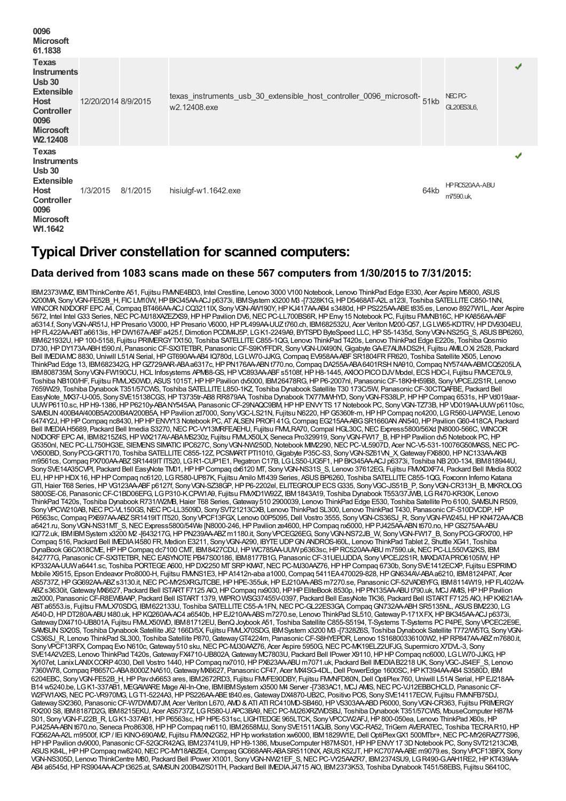| 0096<br><b>Microsoft</b><br>61.1838                                                                                                                              |                     |          |                                                                                     |      |                                 |   |
|------------------------------------------------------------------------------------------------------------------------------------------------------------------|---------------------|----------|-------------------------------------------------------------------------------------|------|---------------------------------|---|
| <b>Texas</b><br><b>Instruments</b><br><b>Usb 30</b><br><b>Extensible</b><br><b>Host</b><br><b>Controller</b><br>0096<br><b>Microsoft</b><br>W <sub>2.12408</sub> | 12/20/2014 8/9/2015 |          | texas_instruments_usb_30_extensible_host_controller_0096_microsoft-<br>w2.12408.exe |      | NEC <sub>PC</sub><br>GL20ES3L6, | ✔ |
| Texas<br><b>Instruments</b><br>Usb30<br><b>Extensible</b><br><b>Host</b><br><b>Controller</b><br>0096<br><b>Microsoft</b><br>W1.1642                             | 1/3/2015            | 8/1/2015 | hisiulgf-w1.1642.exe                                                                | 64kb | HPRC520AA-ABU<br>m7590.uk,      |   |

## **Typical Driver constellation for scanned computers:**

#### **Data derived from 1083 scans made on these 567 computers from 1/30/2015 to 7/31/2015:**

IBM2373WMZ, IBMThinkCentre A51, Fujitsu FMVNE4BD3, Intel Crestline, Lenovo 3000 V100 Notebook, Lenovo ThinkPad Edge E330, Acer Aspire M5800, ASUS X200MA, Sony VGN-FE52B\_H, FIC LM10W, HP BK345AAACJ p6373i, IBM System x3200 MB -[7328K1G, HP D5468AT-A2L a123l, Toshiba SATELLITE C850-1NN,<br>WINCOR NIXDORF EPC AA, Compaq BT466AAACJ CQ3211IX, Sony VGN-AW190Y, HP KJ417AAAB4 5672, Intel Intel G33 Series, NEC PC-MJ18XAZEZXS9, HP HP Pavilion DV6, NEC PC-LL700BS6R, HP Envy 15 Notebook PC, Fujitsu FMMB16C, HP KA856AA-ABF a6314.f, Sony VGN-AR51J, HP Presario V3000, HP Presario V6000, HP PL499AA-UUZt760.ch, IBM682532U, Acer Veriton M200-Q57, LG LW65-KDTRV, HP DV9304EU, HP FL422AA-ABT a6613is, HP DW167A-ABF a425.f, Dimotion PCDM4J5P, LG K1-2249A9, BYTSPD ByteSpeed LLC, HP S5-1435d, Sony VGN-NS25G\_S, ASUS BP6260, IBM621932U,HP100-5158, Fujitsu PRIMERGYTX150, Toshiba SATELLITEC855-1QG, Lenovo ThinkPad T420s, Lenovo ThinkPad Edge E220s, ToshibaQosmio D730, HPDY173A-ABH t590.nl, Panasonic CF-SX3TETBR, Panasonic CF-S9KYFFDR, Sony VGN-UX490N, Gigabyte GA-E7AUM-DS2H, Fujitsu AMILO Xi 2528, Packard Bell IMEDIAMC8830,Uniwill L51AI Serial,HPGT690AA-AB4 IQ780d, LGLW70-JJKG,Compaq EV958AA-ABFSR1804FRFR620, Toshiba Satellite X505, Lenovo ThinkPad Edge 13, IBM682342G, HPGZ729AAR-ABAa6317c, HP PN176AA-ABN t770.no, Compaq DA255A-ABA 6401RSH NA910, Compaq NY574AA-ABMCQ5205LA, IBM808735M, Sony VGN-FW190CU, HCL Infosystems APM88-GS, HP VC893AA-ABFs5108f, HP H8-1445, AXIOO PICO DJV Model, ECS HDC-I, Fujitsu FMVCE70L9, Toshiba NB100/HF, Fujitsu FMLX50WD, ASUS 1015T, HP HP Pavilion dv5000, IBM26478RG, HP P6-2007nl, Panasonic CF-18KHH59B8, Sony VPCEJ2S1R, Lenovo 7659W29, Toshiba Dynabook T351/57CWS, Toshiba SATELLITEL850-1KZ, Toshiba Dynabook Satellite T30 173C/5W, PanasonicCF-30CTQAFBE, Packard Bell EasyNote\_MX37-U-005, SonySVE15138CGS,HPT3735tr-AB8 RR879AA, Toshiba Dynabook TX/77MWHYD, SonyVGN-FS38LP,HPHPCompaq 6531s,HPVd019aar-UUWP6110.sc, HP H9-1386, HP P6210y-ABANY545AA, Panasonic CF-29NAQC9BM, HP HP ENVYTS 17 Notebook PC, Sony VGN-TZ73B, HP VD019AA-UUW p6110sc, SAMSUN 400B4A/400B5A/200B4A/200B5A, HP Pavilion zd7000, Sony VGC-LS21N, Fujitsu N6220, HP G5360fr-m, HP HP Compaq nc4200, LG R560-UAPW3E, Lenovo 6474Y2J, HP HP Compaq nc8430, HP HP ENVY13 Notebook PC, AT ALSEN PROFI 41G, Compaq EG215AA-ABG SR1660AN AN540, HP Pavilion G60-418CA, Packard Bell IMEDIA H5689, Packard Bell Imedia S3270, NEC PC-VY13MRFEAEHU, Fujitsu FMM RA70, Compal HGL30C, NEC Express5800/56Xd [N8000-566C, WINCOR NIXDORFEPCA4, IBM8215Z4S, HP WX217AV-ABAMS230z, Fujitsu FMMLX50LX, Seneca Pro329919, Sony VGN-FW17\_B, HP HP Pavilion dv5 Notebook PC, HP G5350nl, NEC PC-LL750HG3E, SIEMENS SIMATIC IPC627C, Sony VGN-NW250D, Notebook MIM2290, NEC PC-VL5907D, Acer NC-V5-531-10076G50MASS, NEC PC-VX500BD, SonyPCG-GRT170, Toshiba SATELLITEC855-12Z, PCSMARTPTI1010,Gigabyte P35C-S3, SonyVGN-SZ61VN\_X,GatewayFX6800,HPNC133AA-AKB m9561cs,Compaq PX700AA-ABZSR1449ITIT520, LGR1-CUP1E1, Pegatron C17B, LGLS50-UG5F1,HPBK345AA-ACJ p6373i, Toshiba NB200-134, IBM818944U, Sony SVE14A35CVPI, Packard Bell EasyNote TM01, HP HP Compaq dx6120 MT, Sony VGN-NS31S\_S, Lenovo 37612EG, Fujitsu FMVXDXF74, Packard Bell IMedia 8002 EU,HPHPHDX16,HPHPCompaq nc6120, LGR580-UP87K, Fujitsu Amilo M1439 Series, ASUSBP6260, Toshiba SATELLITEC855-1QG, Foxconn Inferno Katana GTI, Haier T68 Series, HP VG123AA-ABF p6127f, Sony VGN-SZ38GP, HP P6-2202el, ELITEGROUP ECS G335, Sony VGC-JS51B\_P, Sony VGN-CR313H\_B, MKROLOG S800SE-C6, Panasonic CF-C1BD06EFG, LG P310-K.CPW1A9, Fujitsu FMXD1W92Z, IBM1843A19, Toshiba Dynabook T553/37JWB, LG R470-KR30K, Lenovo ThinkPad T420s, Toshiba Dynabook R731/W2MB, Haier T68 Series, Gateway 510 2900039, Lenovo ThinkPad Edge E530, Toshiba Satellite Pro 6100, SAWSUN R509, Sony VPCW210AB, NEC PC-VL150GS, NEC PC-LL3509D, Sony SVT21213CXB, Lenovo ThinkPad SL300, Lenovo ThinkPad T430, Panasonic CF-S10DVCDP, HP P6563sc, Compaq PX697AA-ABZ SR1419IT IT520, Sony VPCF13FGX, Lenovo 00P5095, Dell Vostro 3555, Sony VGN-CS36SJ\_R, Sony VGN-FW245J, HP KN472AA-ACB a6421.ru, SonyVGN-NS31MT\_S,NECExpress5800/54We [N8000-246,HPPavilion ze4600,HPCompaq nx5000,HPPJ425AA-ABNt670.no,HPGS275AA-ABU IQ772.uk, IBMIBMSystem x3200 M2 -[643217G,HPPN239AA-ABZm1180.it, SonyVPCEG26EG, SonyVGN-NS72JB\_W, SonyVGN-FW17\_B, SonyPCG-GRX700,HP Compaq 516, Packard Bell IMEDIA 14580 FR, Medion E3211, Sony VGN-A290, IBYTE UDP GN ANDROS-I60L, Lenovo ThinkPad Tablet 2, Shuttle XG41, Toshiba DynaBook G6C/X18CME, HP HP Compaq dc7100 CMT, IBM8427CDU, HP WC785AA-UUW p6363sc, HP RC520AA-ABU m7590.uk, NEC PC-LL550VG2KS, IBM 842777G, Panasonic CF-SX3TETBR, NEC EASYNOTE PB47S00186, IBM8177B1G, Panasonic CF-31UEUJDDA, Sony VPCEJ2S1R, MAXDATA PRO6105IW, HP KP332AA-UUWa6441.sc, Toshiba PORTEGE A600, HP DX2250 MT SRP KMAT, NEC PC-MJ30AAZ76, HP HP Compaq 6730b, Sony SVE1412ECXP, Fujitsu ESPRIMO Mobile X9515, Epson Endeavor Pro8000-H, Fujitsu FMVNS1E3,HPA1412n-aba a1000,Compaq 5411EA470029-828,HPGN634AV-ABAa6210, IBM8124PAT, Acer AS5737Z, HPGG692AA-ABZs3130.it, NECPC-MY25XRGJTCBE, HPHPE-355uk, HPEJ210AA-ABSm7270.se, Panasonic CF-52VADBYFG, IBM8114W19, HPFL402A ABZ s3630it, Gateway MX6627, Packard Bell ISTART F7125 AIO, HP Compaq nx9030, HP HP EliteBook 8530p, HP PN135AA-ABU t790.uk, MCJ AMS, HP HP Pavilion ze2000, Panasonic CF-R8EWBAAP, Packard Bell ISTART 1379, WIPROWSG37455V-0397, Packard Bell EasyNote TK36, Packard Bell ISTART F7125 AIO, HP KX621AA-ABT a6553.is, Fujitsu FMLX70SDG, IBM622133U, Toshiba SATELLITE C55-A-1FN, NEC PC-GL22ES3GA, Compaq GN732AA-ABH SR5135NL, ASUS BM2230, LG A540-D,HPDT280A-ABUt480.uk,HPKQ260AA-AC4 a6540b,HPEJ210AA-ABSm7270.se, Lenovo ThinkPad SL510,GatewayP-171XFX,HPBK345AA-ACJ p6373i, GatewayDX4710-UB801A, Fujitsu FMVLX50WD, IBM81712EU, BenQJoybook A51, Toshiba Satellite C855-S5194, T-Systems T-Systems PCP4PE, SonyVPCEC2E9E, SAMSUN SX20S, Toshiba Dynabook Satellite J62 166D/5X, Fujitsu FMALX70SDG, IBMSystem x3200 M3 -[7328Z6S, Toshiba Dynabook Satellite T772/W5TG, Sony VGN-CS36SJ\_R, Lenovo ThinkPad SL300, Toshiba Satellite P870,GatewayGT4224m, PanasonicCF-S8HYEPDR, Lenovo 1S16800336100W2,HPRP847AA-ABZm7680.it, Sony VPCF13RFX, Compag Evo N610c, Gateway 510 sku, NEC PC-MJ30AAZ76, Acer Aspire 5950G, NEC PC-MK19ELZ2UFJG, Supermicro X7DVL-3, Sony SVE14A2V2ES, Lenovo ThinkPad T420s, Gateway FX4710-UB802A, Gateway MC7803U, Packard Bell IPower X9110, HP HP Compaq nc6000, LG LW70-JJKG, HP Xy107et, LanixLANIXCORP4030,Dell Vostro 1440,HPCompaq nx7010,HPPX623AA-ABU m7071.uk, Packard Bell IMEDIAB2218 UK, SonyVGC-JS4EF\_S, Lenovo 7360W78,Compaq P8657C-ABA8000ZNA510,GatewayMX6627, PanasonicCF47, Acer MX4SG-4DL,Dell PowerEdge 1600SC,HPKT394AA-AB4 S3580D, IBM 6204EBC, SonyVGN-FE52B\_H,HPPavdv6653 ares, IBM2672RD3, Fujitsu FMVFE90DBY, Fujitsu FMVNFD80N,Dell OptiPlex760,Uniwill L51AI Serial,HPEJ218AA-B14 w5240.be, LG K1-337AB1, MEGAWARE Mage All-In-One, IBM IBM System x3500 M4 Server -[7383AC1, MCJ AMS, NEC PC-VJ12EBBCHCLD, Panasonic CF-<br>W2FW1AXS, NEC PC-VR970MG, LG T1-5224A3, HP PS226AA-ABE t840.es, Gateway DX4870-UB2 Gateway SX2360, Panasonic CF-W7DWM07JM, Acer Veriton L670, AND & ATI ATI RC410MD-SB460, HP VS303AA-ABD P6000, Sony VGN-CR363, Fujitsu PRIMERGY RX200 S8, IBM8187D2G, IBM8215EKU, Acer AS5737Z, LGR580-U.APC3BA9,NECPC-MJ26XRZWDSBJ, Toshiba Dynabook T351/57CWS, MouseComputer H87M-S01, SonyVGN-FJ22B\_R, LGK1-337AB1,HPP6563sc,HPHPE-531sc, LIGHTEDGE965LTCK, SonyVPCCW2AFJ,HP800-050ea, Lenovo ThinkPad X60s,HP PJ425AA-ABN t670.no, Seneca Pro86308, HP HP Compaq nx6110, IBM2658MJJ, Sony SVE1511AGJB, Sony VGC-RA52, TriGem AVERATEC, Toshiba TECRA R10, HP FQ562AA-A2L m9500f, ICP / IEi KINO-690AM2, Fujitsu FMAN2G52, HP Hp workstation xw6000, IBM1829W1E, Dell OptiPlex GX1 500MTbr+, NEC PC-MY26RAZ77S96, HPHPPavilion dv9000, PanasonicCF-52GCR42AG, IBM23741U9,HPH9-1386, MouseComputer H87M-S01,HPHPENVY17 3DNotebook PC, SonySVT21213CXB, ASUS K84L, HP HP Compaq nw8240, NEC PC-MY18ABZE4, Compaq GC668AAR-ABA SR5110NX, ASUS K52JT, HP KC707AA-ABE m9079.es, Sony VPCF13BFX, Sony VGN-NS305D, Lenovo ThinkCentre M80, Packard Bell IPower X1001, Sony VGN-NW21EF\_S, NEC PC-VY25AAZR7, IBM2374SU9, LG R490-G.AAH1RE2, HP KT439AA-AB4 a6545d, HP RS904AA-ACP t3625.at, SAMSUN 200B4Z/S01TH, Packard Bell IMEDIAJ4715 AIO, IBM2373K53, Toshiba Dynabook T451/58EBS, Fujitsu S6410C,